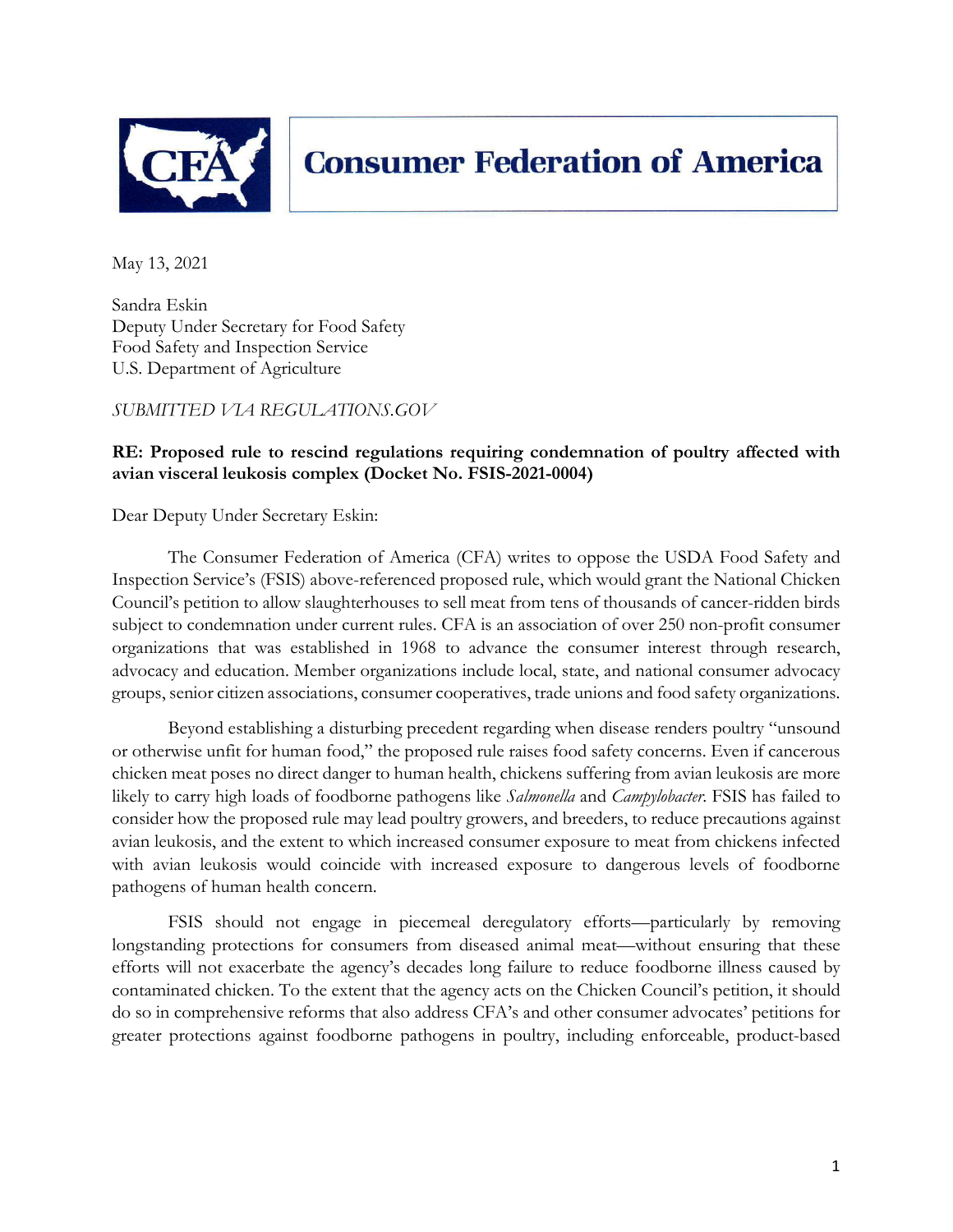

# **Consumer Federation of America**

May 13, 2021

Sandra Eskin Deputy Under Secretary for Food Safety Food Safety and Inspection Service U.S. Department of Agriculture

*SUBMITTED VIA REGULATIONS.GOV* 

## **RE: Proposed rule to rescind regulations requiring condemnation of poultry affected with avian visceral leukosis complex (Docket No. FSIS-2021-0004)**

Dear Deputy Under Secretary Eskin:

The Consumer Federation of America (CFA) writes to oppose the USDA Food Safety and Inspection Service's (FSIS) above-referenced proposed rule, which would grant the National Chicken Council's petition to allow slaughterhouses to sell meat from tens of thousands of cancer-ridden birds subject to condemnation under current rules. CFA is an association of over 250 non-profit consumer organizations that was established in 1968 to advance the consumer interest through research, advocacy and education. Member organizations include local, state, and national consumer advocacy groups, senior citizen associations, consumer cooperatives, trade unions and food safety organizations.

Beyond establishing a disturbing precedent regarding when disease renders poultry "unsound or otherwise unfit for human food," the proposed rule raises food safety concerns. Even if cancerous chicken meat poses no direct danger to human health, chickens suffering from avian leukosis are more likely to carry high loads of foodborne pathogens like *Salmonella* and *Campylobacter*. FSIS has failed to consider how the proposed rule may lead poultry growers, and breeders, to reduce precautions against avian leukosis, and the extent to which increased consumer exposure to meat from chickens infected with avian leukosis would coincide with increased exposure to dangerous levels of foodborne pathogens of human health concern.

FSIS should not engage in piecemeal deregulatory efforts—particularly by removing longstanding protections for consumers from diseased animal meat—without ensuring that these efforts will not exacerbate the agency's decades long failure to reduce foodborne illness caused by contaminated chicken. To the extent that the agency acts on the Chicken Council's petition, it should do so in comprehensive reforms that also address CFA's and other consumer advocates' petitions for greater protections against foodborne pathogens in poultry, including enforceable, product-based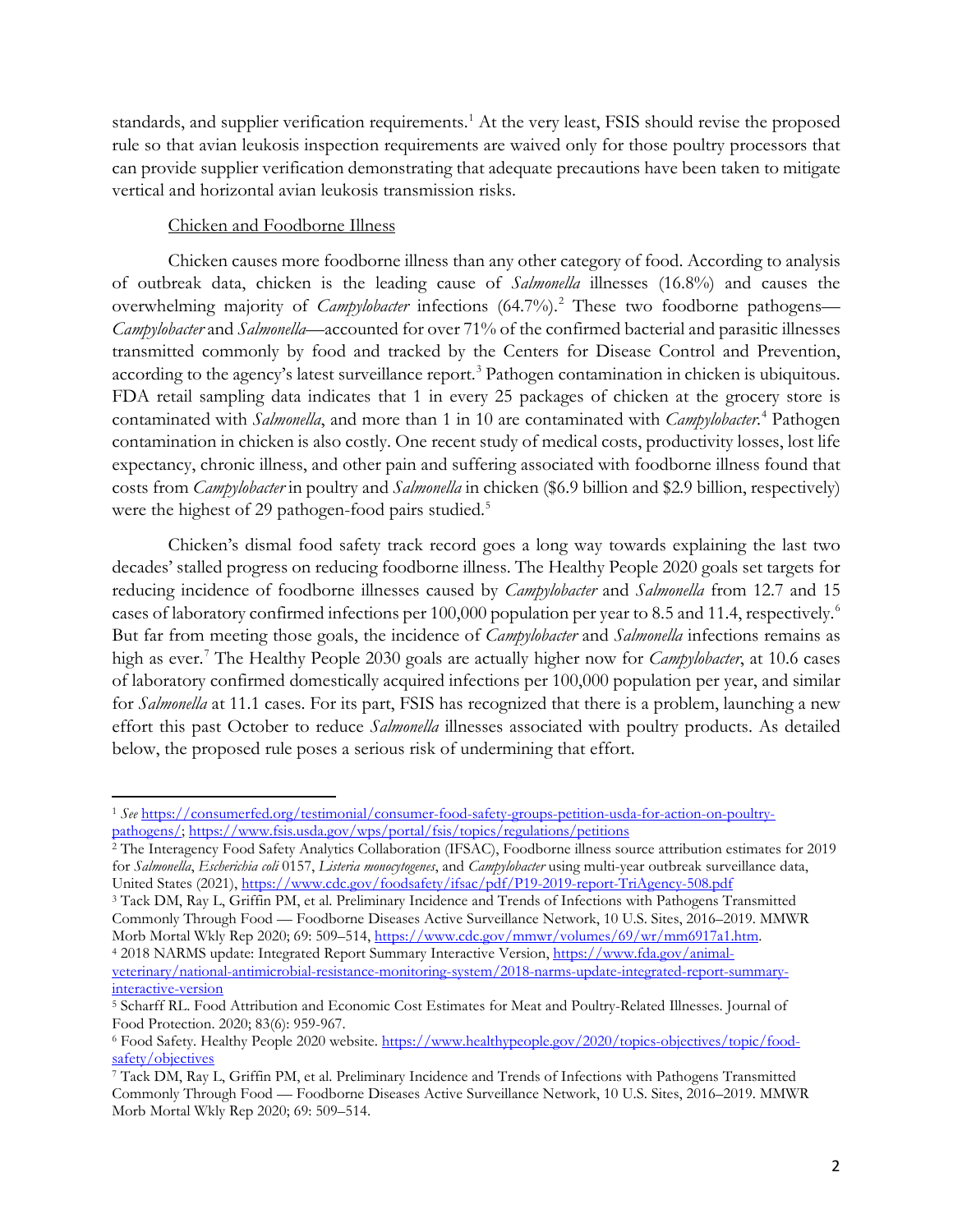standards, and supplier verification requirements.<sup>[1](#page-1-0)</sup> At the very least, FSIS should revise the proposed rule so that avian leukosis inspection requirements are waived only for those poultry processors that can provide supplier verification demonstrating that adequate precautions have been taken to mitigate vertical and horizontal avian leukosis transmission risks.

## Chicken and Foodborne Illness

Chicken causes more foodborne illness than any other category of food. According to analysis of outbreak data, chicken is the leading cause of *Salmonella* illnesses (16.8%) and causes the overwhelming majority of *Campylobacter* infections (64.7%).<sup>[2](#page-1-1)</sup> These two foodborne pathogens— *Campylobacter* and *Salmonella*—accounted for over 71% of the confirmed bacterial and parasitic illnesses transmitted commonly by food and tracked by the Centers for Disease Control and Prevention, according to the agency's latest surveillance report.<sup>[3](#page-1-2)</sup> Pathogen contamination in chicken is ubiquitous. FDA retail sampling data indicates that 1 in every 25 packages of chicken at the grocery store is contaminated with *Salmonella*, and more than 1 in 10 are contaminated with *Campylobacter*. [4](#page-1-3) Pathogen contamination in chicken is also costly. One recent study of medical costs, productivity losses, lost life expectancy, chronic illness, and other pain and suffering associated with foodborne illness found that costs from *Campylobacter* in poultry and *Salmonella* in chicken (\$6.9 billion and \$2.9 billion, respectively) were the highest of 29 pathogen-food pairs studied.<sup>[5](#page-1-4)</sup>

Chicken's dismal food safety track record goes a long way towards explaining the last two decades' stalled progress on reducing foodborne illness. The Healthy People 2020 goals set targets for reducing incidence of foodborne illnesses caused by *Campylobacter* and *Salmonella* from 12.7 and 15 cases of laboratory confirmed infections per 100,000 population per year to 8.5 and 11.4, respectively. [6](#page-1-5) But far from meeting those goals, the incidence of *Campylobacter* and *Salmonella* infections remains as high as ever.<sup>[7](#page-1-6)</sup> The Healthy People 2030 goals are actually higher now for *Campylobacter*, at 10.6 cases of laboratory confirmed domestically acquired infections per 100,000 population per year, and similar for *Salmonella* at 11.1 cases. For its part, FSIS has recognized that there is a problem, launching a new effort this past October to reduce *Salmonella* illnesses associated with poultry products. As detailed below, the proposed rule poses a serious risk of undermining that effort.

<span id="page-1-0"></span><sup>1</sup> *See* [https://consumerfed.org/testimonial/consumer-food-safety-groups-petition-usda-for-action-on-poultry](https://consumerfed.org/testimonial/consumer-food-safety-groups-petition-usda-for-action-on-poultry-pathogens/)[pathogens/;](https://consumerfed.org/testimonial/consumer-food-safety-groups-petition-usda-for-action-on-poultry-pathogens/) https://www.fsis.usda.gov/wps/portal/fsis/topics/regulations/petitions<br><sup>2</sup> The Interagency Food Safety Analytics Collaboration (IFSAC), Foodborne illness source attribution estimates for 2019

<span id="page-1-1"></span>for *Salmonella*, *Escherichia coli* 0157, *Listeria monocytogenes*, and *Campylobacter* using multi-year outbreak surveillance data, United States (2021),<https://www.cdc.gov/foodsafety/ifsac/pdf/P19-2019-report-TriAgency-508.pdf>

<span id="page-1-2"></span><sup>3</sup> Tack DM, Ray L, Griffin PM, et al. Preliminary Incidence and Trends of Infections with Pathogens Transmitted Commonly Through Food — Foodborne Diseases Active Surveillance Network, 10 U.S. Sites, 2016–2019. MMWR Morb Mortal Wkly Rep 2020; 69: 509–514[, https://www.cdc.gov/mmwr/volumes/69/wr/mm6917a1.htm.](https://www.cdc.gov/mmwr/volumes/69/wr/mm6917a1.htm) 4 2018 NARMS update: Integrated Report Summary Interactive Version[, https://www.fda.gov/animal-](https://www.fda.gov/animal-veterinary/national-antimicrobial-resistance-monitoring-system/2018-narms-update-integrated-report-summary-interactive-version)

<span id="page-1-3"></span>[veterinary/national-antimicrobial-resistance-monitoring-system/2018-narms-update-integrated-report-summary](https://www.fda.gov/animal-veterinary/national-antimicrobial-resistance-monitoring-system/2018-narms-update-integrated-report-summary-interactive-version)[interactive-version](https://www.fda.gov/animal-veterinary/national-antimicrobial-resistance-monitoring-system/2018-narms-update-integrated-report-summary-interactive-version)

<span id="page-1-4"></span><sup>5</sup> Scharff RL. Food Attribution and Economic Cost Estimates for Meat and Poultry-Related Illnesses. Journal of Food Protection. 2020; 83(6): 959-967.

<span id="page-1-5"></span><sup>6</sup> Food Safety. Healthy People 2020 website. [https://www.healthypeople.gov/2020/topics-objectives/topic/food](https://www.healthypeople.gov/2020/topics-objectives/topic/food-safety/objectives)safety/objectives<br>7 Tack DM, Ray L, Griffin PM, et al. Preliminary Incidence and Trends of Infections with Pathogens Transmitted

<span id="page-1-6"></span>Commonly Through Food — Foodborne Diseases Active Surveillance Network, 10 U.S. Sites, 2016–2019. MMWR Morb Mortal Wkly Rep 2020; 69: 509–514.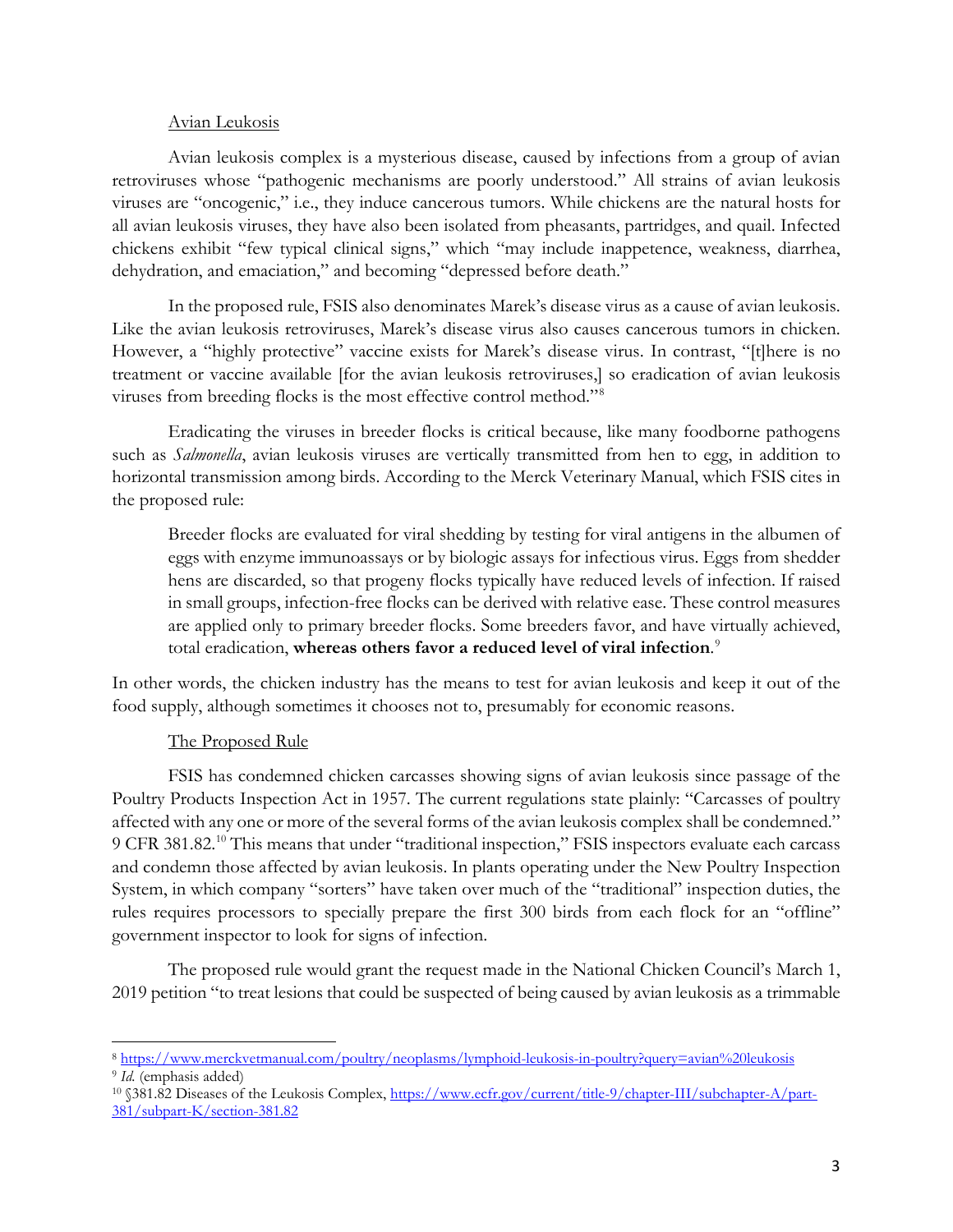#### Avian Leukosis

Avian leukosis complex is a mysterious disease, caused by infections from a group of avian retroviruses whose "pathogenic mechanisms are poorly understood." All strains of avian leukosis viruses are "oncogenic," i.e., they induce cancerous tumors. While chickens are the natural hosts for all avian leukosis viruses, they have also been isolated from pheasants, partridges, and quail. Infected chickens exhibit "few typical clinical signs," which "may include inappetence, weakness, diarrhea, dehydration, and emaciation," and becoming "depressed before death."

In the proposed rule, FSIS also denominates Marek's disease virus as a cause of avian leukosis. Like the avian leukosis retroviruses, Marek's disease virus also causes cancerous tumors in chicken. However, a "highly protective" vaccine exists for Marek's disease virus. In contrast, "[t]here is no treatment or vaccine available [for the avian leukosis retroviruses,] so eradication of avian leukosis viruses from breeding flocks is the most effective control method."[8](#page-2-0)

Eradicating the viruses in breeder flocks is critical because, like many foodborne pathogens such as *Salmonella*, avian leukosis viruses are vertically transmitted from hen to egg, in addition to horizontal transmission among birds. According to the Merck Veterinary Manual, which FSIS cites in the proposed rule:

Breeder flocks are evaluated for viral shedding by testing for viral antigens in the albumen of eggs with enzyme immunoassays or by biologic assays for infectious virus. Eggs from shedder hens are discarded, so that progeny flocks typically have reduced levels of infection. If raised in small groups, infection-free flocks can be derived with relative ease. These control measures are applied only to primary breeder flocks. Some breeders favor, and have virtually achieved, total eradication, **whereas others favor a reduced level of viral infection**. [9](#page-2-1)

In other words, the chicken industry has the means to test for avian leukosis and keep it out of the food supply, although sometimes it chooses not to, presumably for economic reasons.

### The Proposed Rule

FSIS has condemned chicken carcasses showing signs of avian leukosis since passage of the Poultry Products Inspection Act in 1957. The current regulations state plainly: "Carcasses of poultry affected with any one or more of the several forms of the avian leukosis complex shall be condemned." 9 CFR 381.82.<sup>[10](#page-2-2)</sup> This means that under "traditional inspection," FSIS inspectors evaluate each carcass and condemn those affected by avian leukosis. In plants operating under the New Poultry Inspection System, in which company "sorters" have taken over much of the "traditional" inspection duties, the rules requires processors to specially prepare the first 300 birds from each flock for an "offline" government inspector to look for signs of infection.

The proposed rule would grant the request made in the National Chicken Council's March 1, 2019 petition "to treat lesions that could be suspected of being caused by avian leukosis as a trimmable

<span id="page-2-1"></span><span id="page-2-0"></span><sup>8</sup> <https://www.merckvetmanual.com/poultry/neoplasms/lymphoid-leukosis-in-poultry?query=avian%20leukosis>9 *Id.* (emphasis added)

<span id="page-2-2"></span><sup>&</sup>lt;sup>10</sup> §381.82 Diseases of the Leukosis Complex, [https://www.ecfr.gov/current/title-9/chapter-III/subchapter-A/part-](https://www.ecfr.gov/current/title-9/chapter-III/subchapter-A/part-381/subpart-K/section-381.82)[381/subpart-K/section-381.82](https://www.ecfr.gov/current/title-9/chapter-III/subchapter-A/part-381/subpart-K/section-381.82)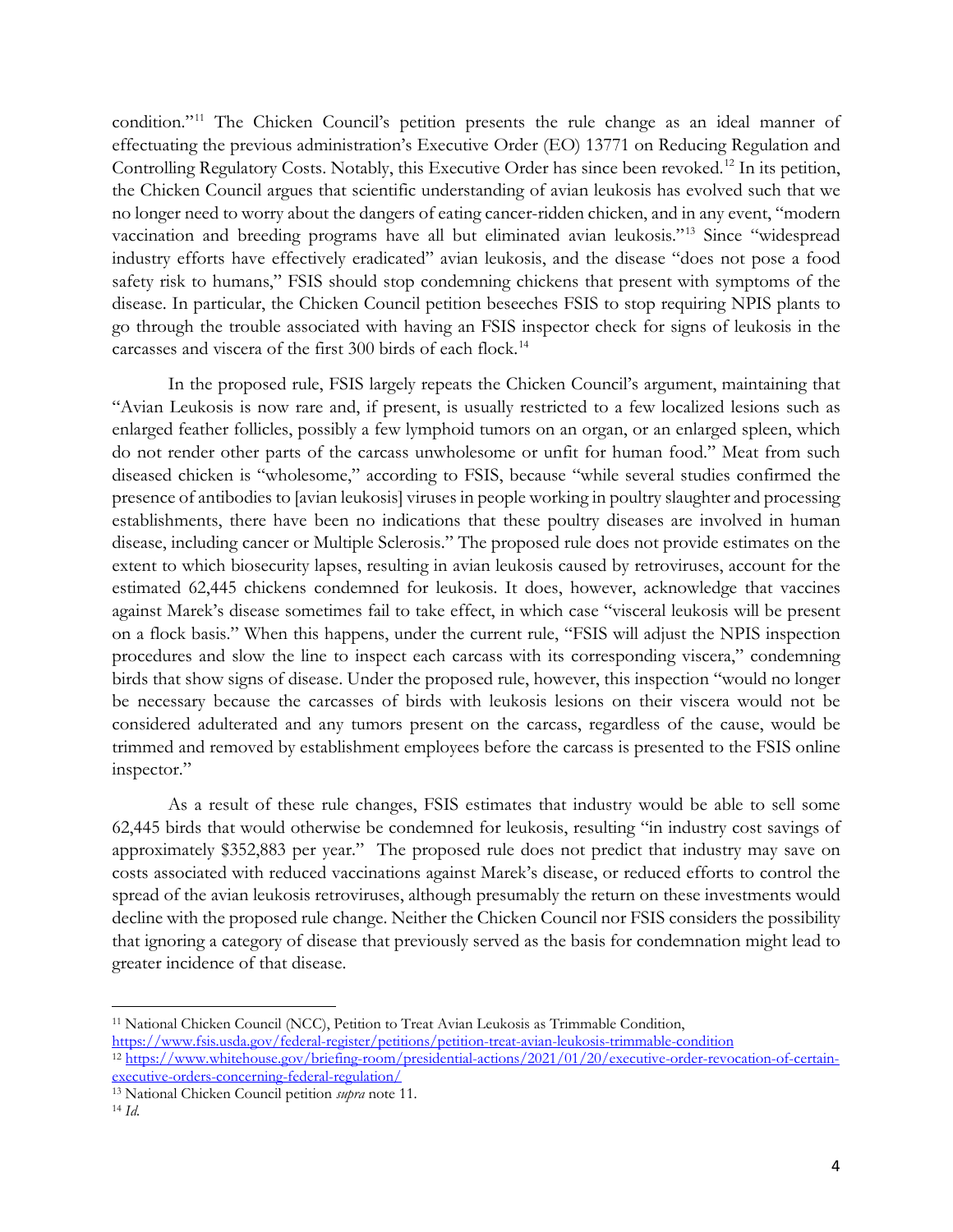condition."<sup>[11](#page-3-0)</sup> The Chicken Council's petition presents the rule change as an ideal manner of effectuating the previous administration's Executive Order (EO) 13771 on Reducing Regulation and Controlling Regulatory Costs. Notably, this Executive Order has since been revoked.<sup>[12](#page-3-1)</sup> In its petition, the Chicken Council argues that scientific understanding of avian leukosis has evolved such that we no longer need to worry about the dangers of eating cancer-ridden chicken, and in any event, "modern vaccination and breeding programs have all but eliminated avian leukosis."[13](#page-3-2) Since "widespread industry efforts have effectively eradicated" avian leukosis, and the disease "does not pose a food safety risk to humans," FSIS should stop condemning chickens that present with symptoms of the disease. In particular, the Chicken Council petition beseeches FSIS to stop requiring NPIS plants to go through the trouble associated with having an FSIS inspector check for signs of leukosis in the carcasses and viscera of the first 300 birds of each flock. [14](#page-3-3) 

In the proposed rule, FSIS largely repeats the Chicken Council's argument, maintaining that "Avian Leukosis is now rare and, if present, is usually restricted to a few localized lesions such as enlarged feather follicles, possibly a few lymphoid tumors on an organ, or an enlarged spleen, which do not render other parts of the carcass unwholesome or unfit for human food." Meat from such diseased chicken is "wholesome," according to FSIS, because "while several studies confirmed the presence of antibodies to [avian leukosis] viruses in people working in poultry slaughter and processing establishments, there have been no indications that these poultry diseases are involved in human disease, including cancer or Multiple Sclerosis." The proposed rule does not provide estimates on the extent to which biosecurity lapses, resulting in avian leukosis caused by retroviruses, account for the estimated 62,445 chickens condemned for leukosis. It does, however, acknowledge that vaccines against Marek's disease sometimes fail to take effect, in which case "visceral leukosis will be present on a flock basis." When this happens, under the current rule, "FSIS will adjust the NPIS inspection procedures and slow the line to inspect each carcass with its corresponding viscera," condemning birds that show signs of disease. Under the proposed rule, however, this inspection "would no longer be necessary because the carcasses of birds with leukosis lesions on their viscera would not be considered adulterated and any tumors present on the carcass, regardless of the cause, would be trimmed and removed by establishment employees before the carcass is presented to the FSIS online inspector."

As a result of these rule changes, FSIS estimates that industry would be able to sell some 62,445 birds that would otherwise be condemned for leukosis, resulting "in industry cost savings of approximately \$352,883 per year." The proposed rule does not predict that industry may save on costs associated with reduced vaccinations against Marek's disease, or reduced efforts to control the spread of the avian leukosis retroviruses, although presumably the return on these investments would decline with the proposed rule change. Neither the Chicken Council nor FSIS considers the possibility that ignoring a category of disease that previously served as the basis for condemnation might lead to greater incidence of that disease.

<span id="page-3-0"></span><sup>&</sup>lt;sup>11</sup> National Chicken Council (NCC), Petition to Treat Avian Leukosis as Trimmable Condition,<br>https://www.fsis.usda.gov/federal-register/petition/petition-treat-avian-leukosis-trimmable-condition

<span id="page-3-1"></span><sup>&</sup>lt;sup>12</sup> https://www.whitehouse.gov/briefing-room/presidential-actions/2021/01/20/executive-order-revocation-of-certain-<br>executive-orders-concerning-federal-regulation/

<span id="page-3-3"></span><span id="page-3-2"></span><sup>&</sup>lt;sup>13</sup> National Chicken Council petition *supra* note 11. <sup>14</sup> *Id.*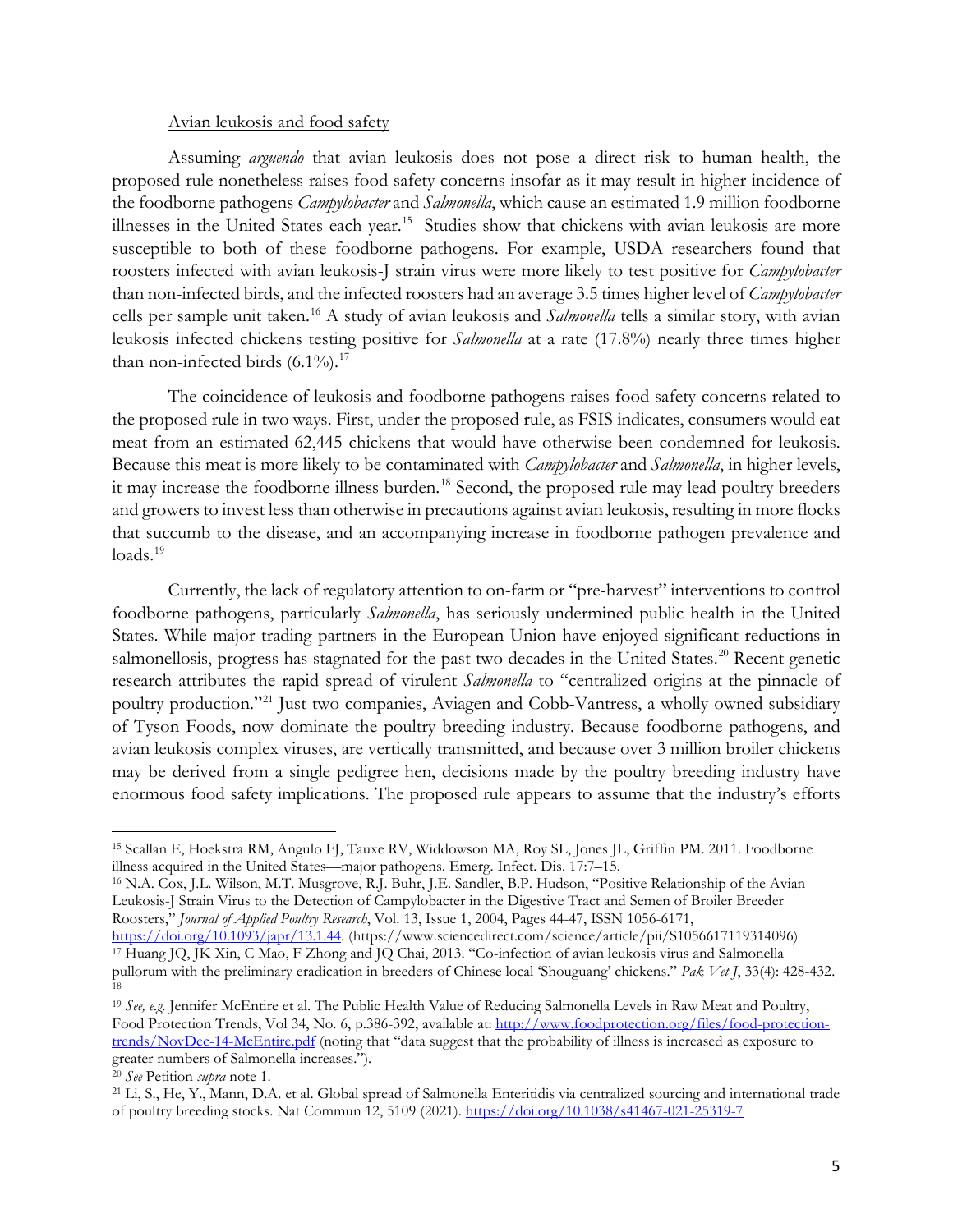#### Avian leukosis and food safety

Assuming *arguendo* that avian leukosis does not pose a direct risk to human health, the proposed rule nonetheless raises food safety concerns insofar as it may result in higher incidence of the foodborne pathogens *Campylobacter* and *Salmonella*, which cause an estimated 1.9 million foodborne illnesses in the United States each year.<sup>15</sup> Studies show that chickens with avian leukosis are more susceptible to both of these foodborne pathogens. For example, USDA researchers found that roosters infected with avian leukosis-J strain virus were more likely to test positive for *Campylobacter*  than non-infected birds, and the infected roosters had an average 3.5 times higher level of *Campylobacter*  cells per sample unit taken.[16](#page-4-1) A study of avian leukosis and *Salmonella* tells a similar story, with avian leukosis infected chickens testing positive for *Salmonella* at a rate (17.8%) nearly three times higher than non-infected birds  $(6.1\%)$ .<sup>17</sup>

The coincidence of leukosis and foodborne pathogens raises food safety concerns related to the proposed rule in two ways. First, under the proposed rule, as FSIS indicates, consumers would eat meat from an estimated 62,445 chickens that would have otherwise been condemned for leukosis. Because this meat is more likely to be contaminated with *Campylobacter* and *Salmonella*, in higher levels, it may increase the foodborne illness burden.<sup>[18](#page-4-3)</sup> Second, the proposed rule may lead poultry breeders and growers to invest less than otherwise in precautions against avian leukosis, resulting in more flocks that succumb to the disease, and an accompanying increase in foodborne pathogen prevalence and  $loads.<sup>19</sup>$  $loads.<sup>19</sup>$  $loads.<sup>19</sup>$ 

Currently, the lack of regulatory attention to on-farm or "pre-harvest" interventions to control foodborne pathogens, particularly *Salmonella*, has seriously undermined public health in the United States. While major trading partners in the European Union have enjoyed significant reductions in salmonellosis, progress has stagnated for the past two decades in the United States.<sup>[20](#page-4-5)</sup> Recent genetic research attributes the rapid spread of virulent *Salmonella* to "centralized origins at the pinnacle of poultry production."[21](#page-4-6) Just two companies, Aviagen and Cobb-Vantress, a wholly owned subsidiary of Tyson Foods, now dominate the poultry breeding industry. Because foodborne pathogens, and avian leukosis complex viruses, are vertically transmitted, and because over 3 million broiler chickens may be derived from a single pedigree hen, decisions made by the poultry breeding industry have enormous food safety implications. The proposed rule appears to assume that the industry's efforts

<span id="page-4-1"></span>Leukosis-J Strain Virus to the Detection of Campylobacter in the Digestive Tract and Semen of Broiler Breeder Roosters," *Journal of Applied Poultry Research*, Vol. 13, Issue 1, 2004, Pages 44-47, ISSN 1056-6171,

<span id="page-4-0"></span><sup>15</sup> Scallan E, Hoekstra RM, Angulo FJ, Tauxe RV, Widdowson MA, Roy SL, Jones JL, Griffin PM. 2011. Foodborne illness acquired in the United States—major pathogens. Emerg. Infect. Dis. 17:7–15.<br><sup>16</sup> N.A. Cox, J.L. Wilson, M.T. Musgrove, R.J. Buhr, J.E. Sandler, B.P. Hudson, "Positive Relationship of the Avian

<span id="page-4-2"></span>[https://doi.org/10.1093/japr/13.1.44.](https://doi.org/10.1093/japr/13.1.44) (https://www.sciencedirect.com/science/article/pii/S1056617119314096) <sup>17</sup> Huang JQ, JK Xin, C Mao, F Zhong and JQ Chai, 2013. "Co-infection of avian leukosis virus and Salmonella pullorum with the preliminary eradication in breeders of Chinese local 'Shouguang' chickens." *Pak Vet J*, 33(4): 428-432. 18

<span id="page-4-4"></span><span id="page-4-3"></span><sup>19</sup> *See, e.g.* Jennifer McEntire et al. The Public Health Value of Reducing Salmonella Levels in Raw Meat and Poultry, Food Protection Trends, Vol 34, No. 6, p.386-392, available at: [http://www.foodprotection.org/files/food-protection](http://www.foodprotection.org/files/food-protection-trends/NovDec-14-McEntire.pdf)[trends/NovDec-14-McEntire.pdf](http://www.foodprotection.org/files/food-protection-trends/NovDec-14-McEntire.pdf) (noting that "data suggest that the probability of illness is increased as exposure to greater numbers of Salmonella increases.").

<span id="page-4-6"></span><span id="page-4-5"></span><sup>&</sup>lt;sup>20</sup> See Petition *supra* note 1.<br><sup>21</sup> Li, S., He, Y., Mann, D.A. et al. Global spread of Salmonella Enteritidis via centralized sourcing and international trade of poultry breeding stocks. Nat Commun 12, 5109 (2021).<https://doi.org/10.1038/s41467-021-25319-7>